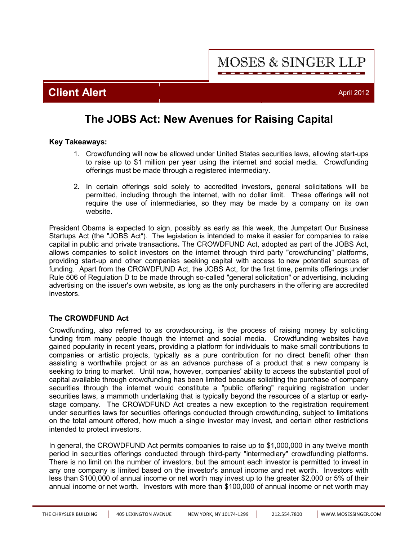**MOSES & SINGER LLP** 

**Client Alert** April 2012

## **The JOBS Act: New Avenues for Raising Capital**

### **Key Takeaways:**

- 1. Crowdfunding will now be allowed under United States securities laws, allowing start-ups to raise up to \$1 million per year using the internet and social media. Crowdfunding offerings must be made through a registered intermediary.
- 2. In certain offerings sold solely to accredited investors, general solicitations will be permitted, including through the internet, with no dollar limit. These offerings will not require the use of intermediaries, so they may be made by a company on its own website.

President Obama is expected to sign, possibly as early as this week, the Jumpstart Our Business Startups Act (the "JOBS Act"). The legislation is intended to make it easier for companies to raise capital in public and private transactions**.** The CROWDFUND Act, adopted as part of the JOBS Act, allows companies to solicit investors on the internet through third party "crowdfunding" platforms, providing start-up and other companies seeking capital with access to new potential sources of funding. Apart from the CROWDFUND Act, the JOBS Act, for the first time, permits offerings under Rule 506 of Regulation D to be made through so-called "general solicitation" or advertising, including advertising on the issuer's own website, as long as the only purchasers in the offering are accredited investors.

## **The CROWDFUND Act**

Crowdfunding, also referred to as crowdsourcing, is the process of raising money by soliciting funding from many people though the internet and social media. Crowdfunding websites have gained popularity in recent years, providing a platform for individuals to make small contributions to companies or artistic projects, typically as a pure contribution for no direct benefit other than assisting a worthwhile project or as an advance purchase of a product that a new company is seeking to bring to market. Until now, however, companies' ability to access the substantial pool of capital available through crowdfunding has been limited because soliciting the purchase of company securities through the internet would constitute a "public offering" requiring registration under securities laws, a mammoth undertaking that is typically beyond the resources of a startup or earlystage company. The CROWDFUND Act creates a new exception to the registration requirement under securities laws for securities offerings conducted through crowdfunding, subject to limitations on the total amount offered, how much a single investor may invest, and certain other restrictions intended to protect investors.

In general, the CROWDFUND Act permits companies to raise up to \$1,000,000 in any twelve month period in securities offerings conducted through third-party "intermediary" crowdfunding platforms. There is no limit on the number of investors, but the amount each investor is permitted to invest in any one company is limited based on the investor's annual income and net worth. Investors with less than \$100,000 of annual income or net worth may invest up to the greater \$2,000 or 5% of their annual income or net worth. Investors with more than \$100,000 of annual income or net worth may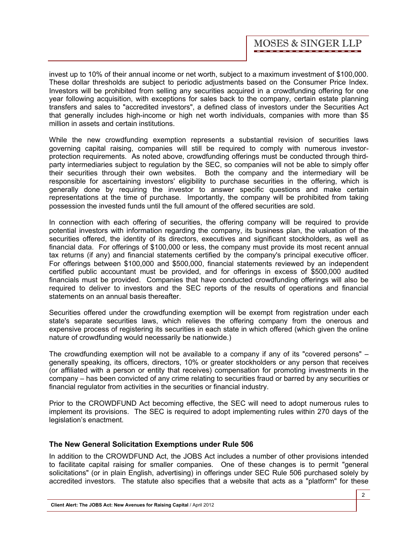invest up to 10% of their annual income or net worth, subject to a maximum investment of \$100,000. These dollar thresholds are subject to periodic adjustments based on the Consumer Price Index. Investors will be prohibited from selling any securities acquired in a crowdfunding offering for one year following acquisition, with exceptions for sales back to the company, certain estate planning transfers and sales to "accredited investors", a defined class of investors under the Securities Act that generally includes high-income or high net worth individuals, companies with more than \$5 million in assets and certain institutions.

While the new crowdfunding exemption represents a substantial revision of securities laws governing capital raising, companies will still be required to comply with numerous investorprotection requirements. As noted above, crowdfunding offerings must be conducted through thirdparty intermediaries subject to regulation by the SEC, so companies will not be able to simply offer their securities through their own websites. Both the company and the intermediary will be responsible for ascertaining investors' eligibility to purchase securities in the offering, which is generally done by requiring the investor to answer specific questions and make certain representations at the time of purchase. Importantly, the company will be prohibited from taking possession the invested funds until the full amount of the offered securities are sold.

In connection with each offering of securities, the offering company will be required to provide potential investors with information regarding the company, its business plan, the valuation of the securities offered, the identity of its directors, executives and significant stockholders, as well as financial data. For offerings of \$100,000 or less, the company must provide its most recent annual tax returns (if any) and financial statements certified by the company's principal executive officer. For offerings between \$100,000 and \$500,000, financial statements reviewed by an independent certified public accountant must be provided, and for offerings in excess of \$500,000 audited financials must be provided. Companies that have conducted crowdfunding offerings will also be required to deliver to investors and the SEC reports of the results of operations and financial statements on an annual basis thereafter.

Securities offered under the crowdfunding exemption will be exempt from registration under each state's separate securities laws, which relieves the offering company from the onerous and expensive process of registering its securities in each state in which offered (which given the online nature of crowdfunding would necessarily be nationwide.)

The crowdfunding exemption will not be available to a company if any of its "covered persons" – generally speaking, its officers, directors, 10% or greater stockholders or any person that receives (or affiliated with a person or entity that receives) compensation for promoting investments in the company – has been convicted of any crime relating to securities fraud or barred by any securities or financial regulator from activities in the securities or financial industry.

Prior to the CROWDFUND Act becoming effective, the SEC will need to adopt numerous rules to implement its provisions. The SEC is required to adopt implementing rules within 270 days of the legislation's enactment.

## **The New General Solicitation Exemptions under Rule 506**

In addition to the CROWDFUND Act, the JOBS Act includes a number of other provisions intended to facilitate capital raising for smaller companies. One of these changes is to permit "general solicitations" (or in plain English, advertising) in offerings under SEC Rule 506 purchased solely by accredited investors. The statute also specifies that a website that acts as a "platform" for these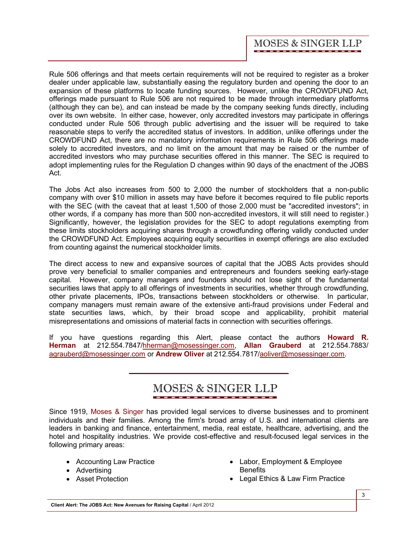Rule 506 offerings and that meets certain requirements will not be required to register as a broker dealer under applicable law, substantially easing the regulatory burden and opening the door to an expansion of these platforms to locate funding sources. However, unlike the CROWDFUND Act, offerings made pursuant to Rule 506 are not required to be made through intermediary platforms (although they can be), and can instead be made by the company seeking funds directly, including over its own website. In either case, however, only accredited investors may participate in offerings conducted under Rule 506 through public advertising and the issuer will be required to take reasonable steps to verify the accredited status of investors. In addition, unlike offerings under the CROWDFUND Act, there are no mandatory information requirements in Rule 506 offerings made solely to accredited investors, and no limit on the amount that may be raised or the number of accredited investors who may purchase securities offered in this manner. The SEC is required to adopt implementing rules for the Regulation D changes within 90 days of the enactment of the JOBS Act.

The Jobs Act also increases from 500 to 2,000 the number of stockholders that a non-public company with over \$10 million in assets may have before it becomes required to file public reports with the SEC (with the caveat that at least 1,500 of those 2,000 must be "accredited investors"; in other words, if a company has more than 500 non-accredited investors, it will still need to register.) Significantly, however, the legislation provides for the SEC to adopt regulations exempting from these limits stockholders acquiring shares through a crowdfunding offering validly conducted under the CROWDFUND Act. Employees acquiring equity securities in exempt offerings are also excluded from counting against the numerical stockholder limits.

The direct access to new and expansive sources of capital that the JOBS Acts provides should prove very beneficial to smaller companies and entrepreneurs and founders seeking early-stage capital. However, company managers and founders should not lose sight of the fundamental securities laws that apply to all offerings of investments in securities, whether through crowdfunding, other private placements, IPOs, transactions between stockholders or otherwise. In particular, company managers must remain aware of the extensive anti-fraud provisions under Federal and state securities laws, which, by their broad scope and applicability, prohibit material misrepresentations and omissions of material facts in connection with securities offerings.

[If you have questions regarding this Alert, please contact the authors](http://www.mosessinger.com/personnel/hherman/) **Howard R. Herman** at 212.554.7847/hherman@mosessinger.com, **[Allan Grauberd](http://www.mosessinger.com/personnel/agrauberd/)** at 212.554.7883/ agrauberd@mosessinger.com or **[Andrew Oliver](http://www.mosessinger.com/personnel/aoliver/)** at 212.554.7817/aoliver@mosessinger.com.

# **MOSES & SINGER LLP**

Since 1919, [Moses & Singer](http://www.mosessinger.com/firm_profile/firm_description.php) has provided legal services to diverse businesses and to prominent individuals and their families. Among the firm's broad array of U.S. and international clients are leaders in banking and finance, entertainment, media, real estate, healthcare, advertising, and the hotel and hospitality industries. We provide cost-effective and result-focused legal services in the following primary areas:

- Accounting Law Practice
- · Advertising
- · Asset Protection
- · Labor, Employment & Employee **Benefits**
- · Legal Ethics & Law Firm Practice